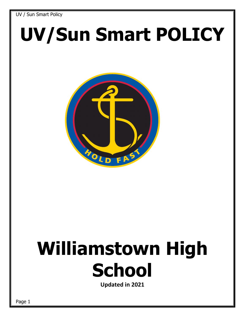# **UV/Sun Smart POLICY**



## **Williamstown High School**

**Updated in 2021**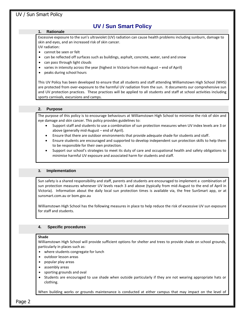#### **1. Rationale**

 Excessive exposure to the sun's ultraviolet (UV) radiation can cause health problems including sunburn, damage to skin and eyes, and an increased risk of skin cancer. UV radiation:

- cannot be seen or felt
- can be reflected off surfaces such as buildings, asphalt, concrete, water, sand and snow
- can pass through light clouds
- varies in intensity across the year (highest in Victoria from mid-August end of April)
- peaks during school hours

This UV Policy has been developed to ensure that all students and staff attending Williamstown High School (WHS) are protected from over-exposure to the harmful UV radiation from the sun. It documents our comprehensive sun and UV protection practices. These practices will be applied to all students and staff at school activities including sports carnivals, excursions and camps.

#### **2. Purpose**

The purpose of this policy is to encourage behaviours at Williamstown High School to minimise the risk of skin and eye damage and skin cancer. This policy provides guidelines to:

- Support staff and students to use a combination of sun protection measures when UV index levels are 3 or above (generally mid-August – end of April).
- Ensure that there are outdoor environments that provide adequate shade for students and staff.
- Ensure students are encouraged and supported to develop independent sun protection skills to help them to be responsible for their own protection.
- Support our school's strategies to meet its duty of care and occupational health and safety obligations to minimise harmful UV exposure and associated harm for students and staff.

#### **3. Implementation**

Sun safety is a shared responsibility and staff, parents and students are encouraged to implement a combination of sun protection measures whenever UV levels reach 3 and above (typically from mid-August to the end of April in Victoria). Information about the daily local sun protection times is available via, the free [SunSmart app,](http://www.sunsmart.com.au/tools/interactive-tools/free-sunsmart-app) or at [sunsmart.com.au](http://www.sunsmart.com.au/) or bom.gov.au

Williamstown High School has the following measures in place to help reduce the risk of excessive UV sun exposure for staff and students.

#### **4. Specific procedures**

#### **Shade**

Williamstown High School will provide sufficient options for shelter and trees to provide shade on school grounds, particularly in places such as:

- where students congregate for lunch
- outdoor lesson areas
- popular play areas
- assembly areas
- sporting grounds and oval
- Students are encouraged to use shade when outside particularly if they are not wearing appropriate hats or clothing.

When building works or grounds maintenance is conducted at either campus that may impact on the level of

Page 2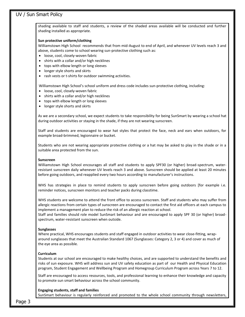shading available to staff and students, a review of the shaded areas available will be conducted and further shading installed as appropriate.

#### **Sun protective uniform/clothing**

Williamstown High School recommends that from mid-August to end of April, and whenever UV levels reach 3 and above, students come to school wearing sun-protective clothing such as:

- loose, cool, closely-woven fabric
- shirts with a collar and/or high necklines
- tops with elbow length or long sleeves
- longer style shorts and skirts
- rash vests or t-shirts for outdoor swimming activities.

Williamstown High School's school uniform and dress code includes sun-protective clothing, including:

- loose, cool, closely-woven fabric
- shirts with a collar and/or high necklines
- tops with elbow length or long sleeves
- longer style shorts and skirts

As we are a secondary school, we expect students to take responsibility for being SunSmart by wearing a school hat during outdoor activities or staying in the shade, if they are not wearing sunscreen.

Staff and students are encouraged to wear hat styles that protect the face, neck and ears when outdoors, for example broad-brimmed, legionnaire or bucket.

Students who are not wearing appropriate protective clothing or a hat may be asked to play in the shade or in a suitable area protected from the sun.

#### **Sunscreen**

Williamstown High School encourages all staff and students to apply SPF30 (or higher) broad-spectrum, waterresistant sunscreen daily whenever UV levels reach 3 and above. Sunscreen should be applied at least 20 minutes before going outdoors, and reapplied every two hours according to [manufacturer's instructions](https://www.tga.gov.au/book/4-labelling-and-advertising).

WHS has strategies in place to remind students to apply sunscreen before going outdoors [for example i.e. reminder notices, sunscreen monitors and teacher packs during classtime.

WHS students are welcome to attend the front office to access sunscreen. Staff and students who may suffer from allergic reactions from certain types of sunscreen are encouraged to contact the first aid officers at each campus to implement a management plan to reduce the risk of an allergic reaction at school.

Staff and families should role model SunSmart behaviour and are encouraged to apply SPF 30 (or higher) broadspectrum, water-resistant sunscreen when outside.

#### **Sunglasses**

Where practical, WHS encourages students and staff engaged in outdoor activities to wear close-fitting, wraparound sunglasses that meet the Australian Standard 1067 (Sunglasses: Category 2, 3 or 4) and cover as much of the eye area as possible.

#### **Curriculum**

Students at our school are encouraged to make healthy choices, and are supported to understand the benefits and risks of sun exposure. WHS will address sun and UV safety education as part of our Health and Physical Education program, Student Engagement and Wellbeing Program and Homegroup Curriculum Program across Years 7 to 12.

Staff are encouraged to access resources, tools, and professional learning to enhance their knowledge and capacity to promote sun smart behaviour across the school community.

#### **Engaging students, staff and families**

SunSmart behaviour is regularly reinforced and promoted to the whole school community through newsletters,